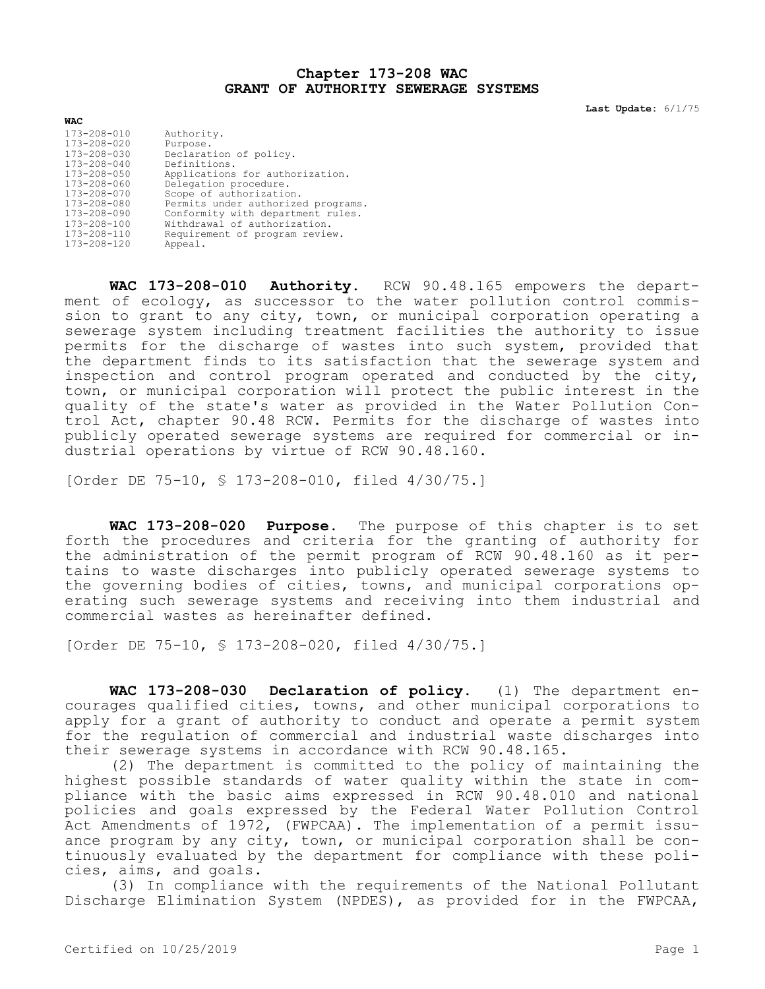## **Chapter 173-208 WAC GRANT OF AUTHORITY SEWERAGE SYSTEMS**

**Last Update:** 6/1/75

| <b>WAC</b>        |                                    |
|-------------------|------------------------------------|
| 173-208-010       | Authority.                         |
| 173-208-020       | Purpose.                           |
| 173-208-030       | Declaration of policy.             |
| $173 - 208 - 040$ | Definitions.                       |
| 173-208-050       | Applications for authorization.    |
| 173-208-060       | Delegation procedure.              |
| 173-208-070       | Scope of authorization.            |
| 173-208-080       | Permits under authorized programs. |
| 173-208-090       | Conformity with department rules.  |
| 173-208-100       | Withdrawal of authorization.       |
| 173-208-110       | Requirement of program review.     |
| $173 - 208 - 120$ | Appeal.                            |

**WAC 173-208-010 Authority.** RCW 90.48.165 empowers the department of ecology, as successor to the water pollution control commission to grant to any city, town, or municipal corporation operating a sewerage system including treatment facilities the authority to issue permits for the discharge of wastes into such system, provided that the department finds to its satisfaction that the sewerage system and inspection and control program operated and conducted by the city, town, or municipal corporation will protect the public interest in the quality of the state's water as provided in the Water Pollution Control Act, chapter 90.48 RCW. Permits for the discharge of wastes into publicly operated sewerage systems are required for commercial or industrial operations by virtue of RCW 90.48.160.

[Order DE 75-10, § 173-208-010, filed 4/30/75.]

**WAC 173-208-020 Purpose.** The purpose of this chapter is to set forth the procedures and criteria for the granting of authority for the administration of the permit program of RCW 90.48.160 as it pertains to waste discharges into publicly operated sewerage systems to the governing bodies of cities, towns, and municipal corporations operating such sewerage systems and receiving into them industrial and commercial wastes as hereinafter defined.

[Order DE 75-10, § 173-208-020, filed 4/30/75.]

**WAC 173-208-030 Declaration of policy.** (1) The department encourages qualified cities, towns, and other municipal corporations to apply for a grant of authority to conduct and operate a permit system for the regulation of commercial and industrial waste discharges into their sewerage systems in accordance with RCW 90.48.165.

(2) The department is committed to the policy of maintaining the highest possible standards of water quality within the state in compliance with the basic aims expressed in RCW 90.48.010 and national policies and goals expressed by the Federal Water Pollution Control Act Amendments of 1972, (FWPCAA). The implementation of a permit issuance program by any city, town, or municipal corporation shall be continuously evaluated by the department for compliance with these policies, aims, and goals.

(3) In compliance with the requirements of the National Pollutant Discharge Elimination System (NPDES), as provided for in the FWPCAA,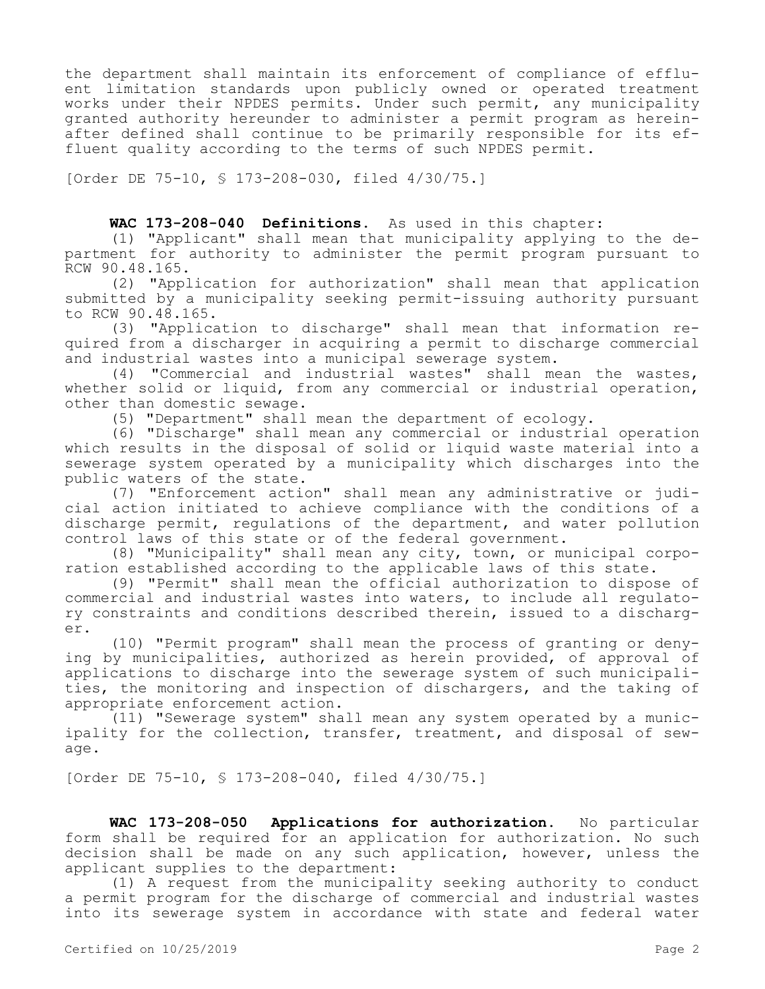the department shall maintain its enforcement of compliance of effluent limitation standards upon publicly owned or operated treatment works under their NPDES permits. Under such permit, any municipality granted authority hereunder to administer a permit program as hereinafter defined shall continue to be primarily responsible for its effluent quality according to the terms of such NPDES permit.

[Order DE 75-10, § 173-208-030, filed 4/30/75.]

## **WAC 173-208-040 Definitions.** As used in this chapter:

(1) "Applicant" shall mean that municipality applying to the department for authority to administer the permit program pursuant to RCW 90.48.165.

(2) "Application for authorization" shall mean that application submitted by a municipality seeking permit-issuing authority pursuant to RCW 90.48.165.

(3) "Application to discharge" shall mean that information required from a discharger in acquiring a permit to discharge commercial and industrial wastes into a municipal sewerage system.

(4) "Commercial and industrial wastes" shall mean the wastes, whether solid or liquid, from any commercial or industrial operation, other than domestic sewage.

(5) "Department" shall mean the department of ecology.

(6) "Discharge" shall mean any commercial or industrial operation which results in the disposal of solid or liquid waste material into a sewerage system operated by a municipality which discharges into the public waters of the state.

(7) "Enforcement action" shall mean any administrative or judicial action initiated to achieve compliance with the conditions of a discharge permit, regulations of the department, and water pollution control laws of this state or of the federal government.

(8) "Municipality" shall mean any city, town, or municipal corporation established according to the applicable laws of this state.

(9) "Permit" shall mean the official authorization to dispose of commercial and industrial wastes into waters, to include all regulatory constraints and conditions described therein, issued to a discharger.

(10) "Permit program" shall mean the process of granting or denying by municipalities, authorized as herein provided, of approval of applications to discharge into the sewerage system of such municipalities, the monitoring and inspection of dischargers, and the taking of appropriate enforcement action.

(11) "Sewerage system" shall mean any system operated by a municipality for the collection, transfer, treatment, and disposal of sewage.

[Order DE 75-10, § 173-208-040, filed 4/30/75.]

**WAC 173-208-050 Applications for authorization.** No particular form shall be required for an application for authorization. No such decision shall be made on any such application, however, unless the applicant supplies to the department:

(1) A request from the municipality seeking authority to conduct a permit program for the discharge of commercial and industrial wastes into its sewerage system in accordance with state and federal water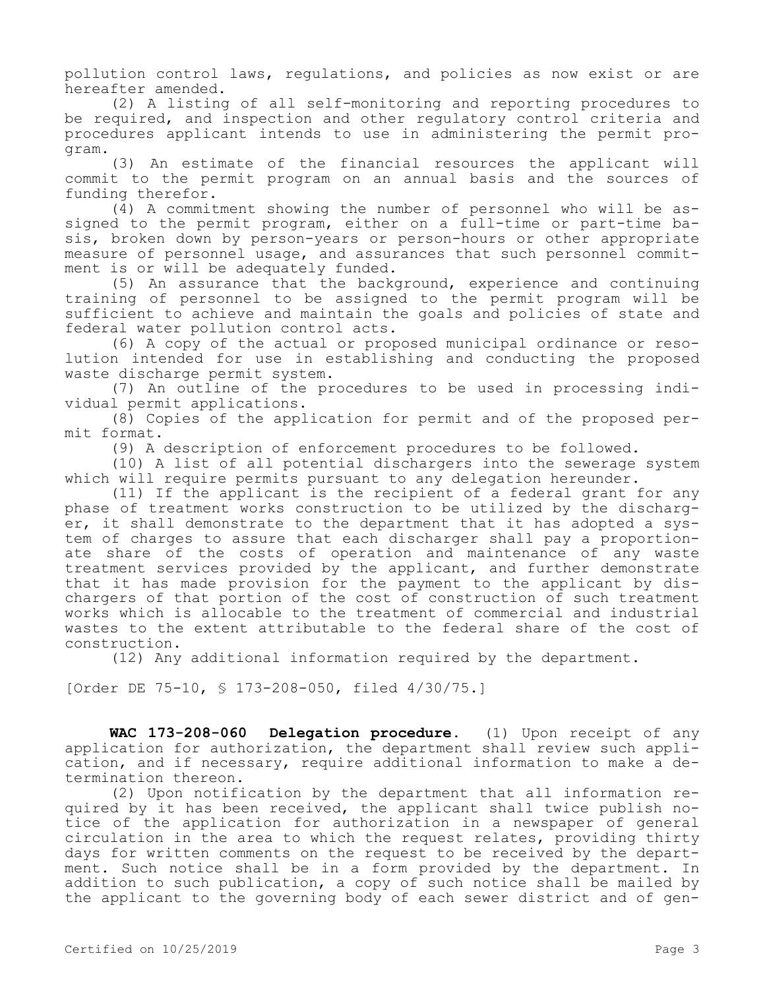pollution control laws, regulations, and policies as now exist or are hereafter amended.

(2) A listing of all self-monitoring and reporting procedures to be required, and inspection and other regulatory control criteria and procedures applicant intends to use in administering the permit program.

(3) An estimate of the financial resources the applicant will commit to the permit program on an annual basis and the sources of funding therefor.

(4) A commitment showing the number of personnel who will be assigned to the permit program, either on a full-time or part-time basis, broken down by person-years or person-hours or other appropriate measure of personnel usage, and assurances that such personnel commitment is or will be adequately funded.

(5) An assurance that the background, experience and continuing training of personnel to be assigned to the permit program will be sufficient to achieve and maintain the goals and policies of state and federal water pollution control acts.

(6) A copy of the actual or proposed municipal ordinance or resolution intended for use in establishing and conducting the proposed waste discharge permit system.

(7) An outline of the procedures to be used in processing individual permit applications.

(8) Copies of the application for permit and of the proposed permit format.

(9) A description of enforcement procedures to be followed.

(10) A list of all potential dischargers into the sewerage system which will require permits pursuant to any delegation hereunder.

(11) If the applicant is the recipient of a federal grant for any phase of treatment works construction to be utilized by the discharger, it shall demonstrate to the department that it has adopted a system of charges to assure that each discharger shall pay a proportionate share of the costs of operation and maintenance of any waste treatment services provided by the applicant, and further demonstrate that it has made provision for the payment to the applicant by dischargers of that portion of the cost of construction of such treatment works which is allocable to the treatment of commercial and industrial wastes to the extent attributable to the federal share of the cost of construction.

(12) Any additional information required by the department.

[Order DE 75-10, § 173-208-050, filed 4/30/75.]

**WAC 173-208-060 Delegation procedure.** (1) Upon receipt of any application for authorization, the department shall review such application, and if necessary, require additional information to make a determination thereon.

(2) Upon notification by the department that all information required by it has been received, the applicant shall twice publish notice of the application for authorization in a newspaper of general circulation in the area to which the request relates, providing thirty days for written comments on the request to be received by the department. Such notice shall be in a form provided by the department. In addition to such publication, a copy of such notice shall be mailed by the applicant to the governing body of each sewer district and of gen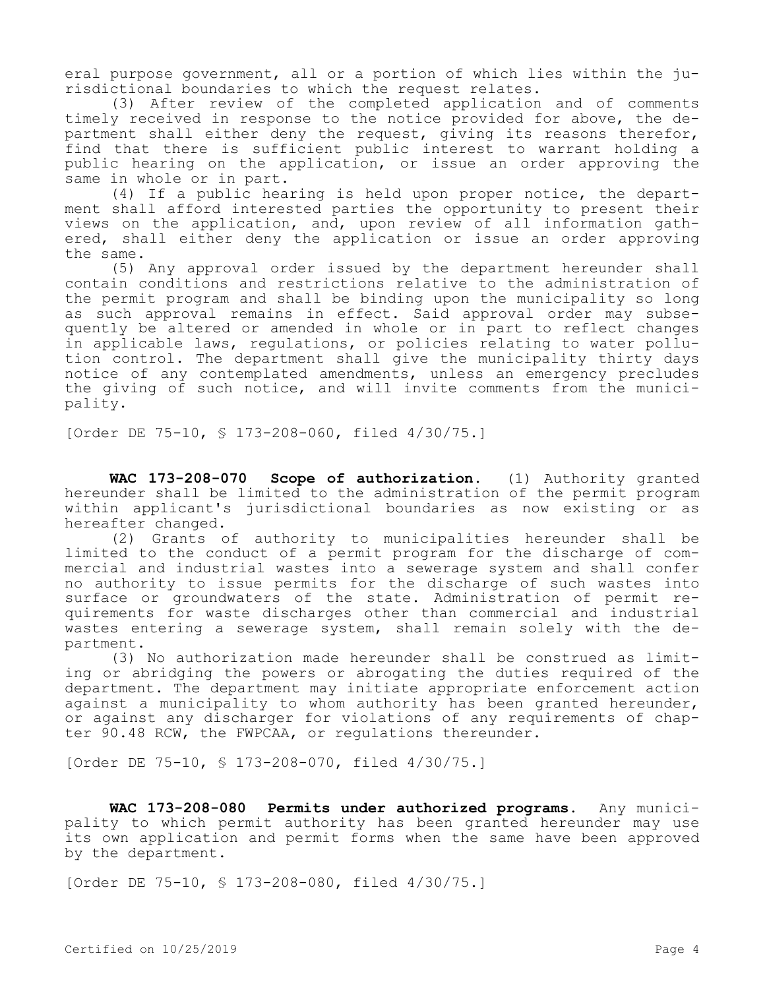eral purpose government, all or a portion of which lies within the jurisdictional boundaries to which the request relates.

(3) After review of the completed application and of comments timely received in response to the notice provided for above, the department shall either deny the request, giving its reasons therefor, find that there is sufficient public interest to warrant holding a public hearing on the application, or issue an order approving the same in whole or in part.

(4) If a public hearing is held upon proper notice, the department shall afford interested parties the opportunity to present their views on the application, and, upon review of all information gathered, shall either deny the application or issue an order approving the same.

(5) Any approval order issued by the department hereunder shall contain conditions and restrictions relative to the administration of the permit program and shall be binding upon the municipality so long as such approval remains in effect. Said approval order may subsequently be altered or amended in whole or in part to reflect changes in applicable laws, regulations, or policies relating to water pollution control. The department shall give the municipality thirty days notice of any contemplated amendments, unless an emergency precludes the giving of such notice, and will invite comments from the municipality.

[Order DE 75-10, § 173-208-060, filed 4/30/75.]

**WAC 173-208-070 Scope of authorization.** (1) Authority granted hereunder shall be limited to the administration of the permit program within applicant's jurisdictional boundaries as now existing or as hereafter changed.

(2) Grants of authority to municipalities hereunder shall be limited to the conduct of a permit program for the discharge of commercial and industrial wastes into a sewerage system and shall confer no authority to issue permits for the discharge of such wastes into surface or groundwaters of the state. Administration of permit requirements for waste discharges other than commercial and industrial wastes entering a sewerage system, shall remain solely with the department.

(3) No authorization made hereunder shall be construed as limiting or abridging the powers or abrogating the duties required of the department. The department may initiate appropriate enforcement action against a municipality to whom authority has been granted hereunder, or against any discharger for violations of any requirements of chapter 90.48 RCW, the FWPCAA, or regulations thereunder.

[Order DE 75-10, § 173-208-070, filed 4/30/75.]

**WAC 173-208-080 Permits under authorized programs.** Any municipality to which permit authority has been granted hereunder may use its own application and permit forms when the same have been approved by the department.

[Order DE 75-10, § 173-208-080, filed 4/30/75.]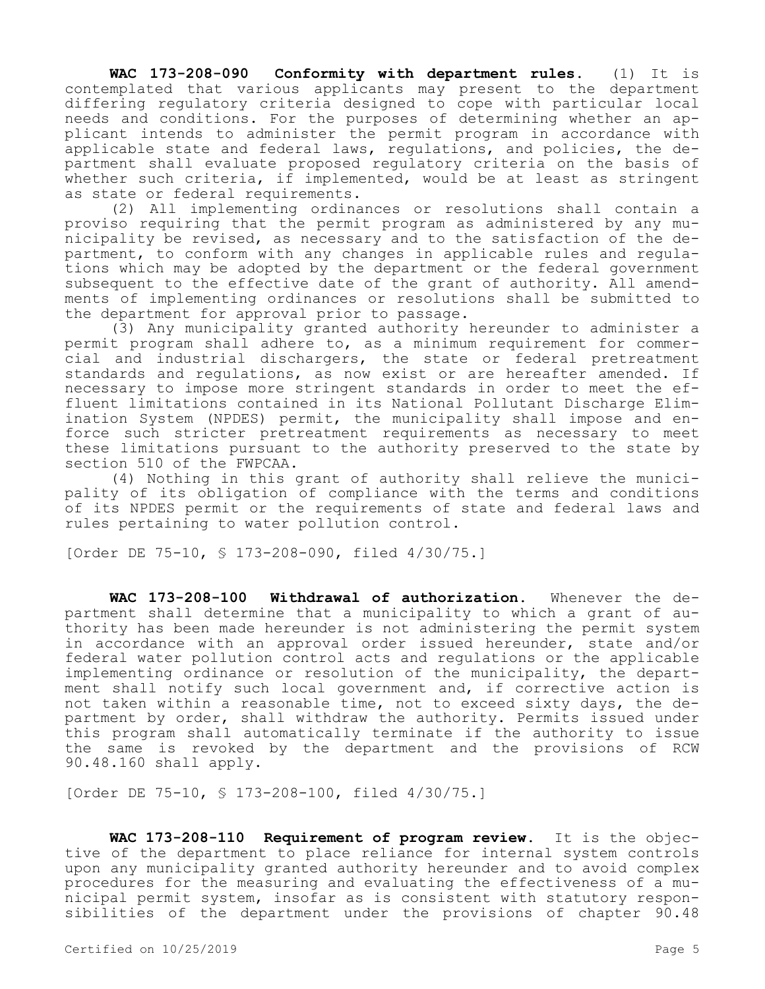**WAC 173-208-090 Conformity with department rules.** (1) It is contemplated that various applicants may present to the department differing regulatory criteria designed to cope with particular local needs and conditions. For the purposes of determining whether an applicant intends to administer the permit program in accordance with applicable state and federal laws, regulations, and policies, the department shall evaluate proposed regulatory criteria on the basis of whether such criteria, if implemented, would be at least as stringent as state or federal requirements.

(2) All implementing ordinances or resolutions shall contain a proviso requiring that the permit program as administered by any municipality be revised, as necessary and to the satisfaction of the department, to conform with any changes in applicable rules and regulations which may be adopted by the department or the federal government subsequent to the effective date of the grant of authority. All amendments of implementing ordinances or resolutions shall be submitted to the department for approval prior to passage.

(3) Any municipality granted authority hereunder to administer a permit program shall adhere to, as a minimum requirement for commercial and industrial dischargers, the state or federal pretreatment standards and regulations, as now exist or are hereafter amended. If necessary to impose more stringent standards in order to meet the effluent limitations contained in its National Pollutant Discharge Elimination System (NPDES) permit, the municipality shall impose and enforce such stricter pretreatment requirements as necessary to meet these limitations pursuant to the authority preserved to the state by section 510 of the FWPCAA.

(4) Nothing in this grant of authority shall relieve the municipality of its obligation of compliance with the terms and conditions of its NPDES permit or the requirements of state and federal laws and rules pertaining to water pollution control.

[Order DE 75-10, § 173-208-090, filed 4/30/75.]

**WAC 173-208-100 Withdrawal of authorization.** Whenever the department shall determine that a municipality to which a grant of authority has been made hereunder is not administering the permit system in accordance with an approval order issued hereunder, state and/or federal water pollution control acts and regulations or the applicable implementing ordinance or resolution of the municipality, the department shall notify such local government and, if corrective action is not taken within a reasonable time, not to exceed sixty days, the department by order, shall withdraw the authority. Permits issued under this program shall automatically terminate if the authority to issue the same is revoked by the department and the provisions of RCW 90.48.160 shall apply.

[Order DE 75-10, § 173-208-100, filed 4/30/75.]

**WAC 173-208-110 Requirement of program review.** It is the objective of the department to place reliance for internal system controls upon any municipality granted authority hereunder and to avoid complex procedures for the measuring and evaluating the effectiveness of a municipal permit system, insofar as is consistent with statutory responsibilities of the department under the provisions of chapter 90.48